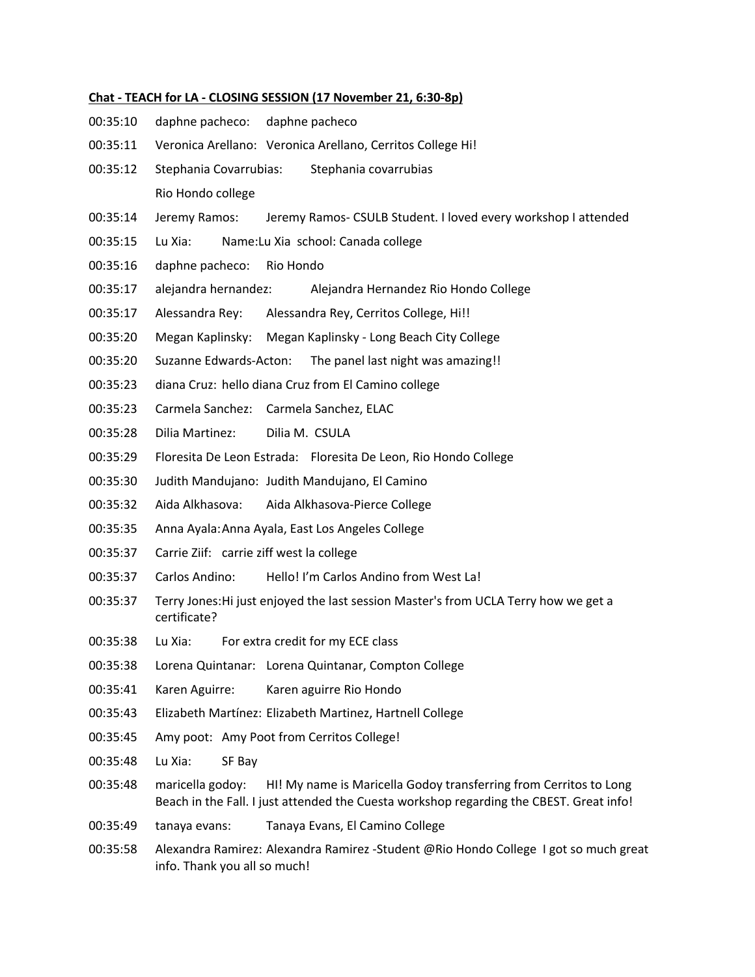## **Chat - TEACH for LA - CLOSING SESSION (17 November 21, 6:30-8p)**

- 00:35:10 daphne pacheco: daphne pacheco
- 00:35:11 Veronica Arellano: Veronica Arellano, Cerritos College Hi!
- 00:35:12 Stephania Covarrubias: Stephania covarrubias Rio Hondo college
- 00:35:14 Jeremy Ramos: Jeremy Ramos- CSULB Student. I loved every workshop I attended
- 00:35:15 Lu Xia: Name:Lu Xia school: Canada college
- 00:35:16 daphne pacheco: Rio Hondo
- 00:35:17 alejandra hernandez: Alejandra Hernandez Rio Hondo College
- 00:35:17 Alessandra Rey: Alessandra Rey, Cerritos College, Hi!!
- 00:35:20 Megan Kaplinsky: Megan Kaplinsky Long Beach City College
- 00:35:20 Suzanne Edwards-Acton: The panel last night was amazing!!
- 00:35:23 diana Cruz: hello diana Cruz from El Camino college
- 00:35:23 Carmela Sanchez: Carmela Sanchez, ELAC
- 00:35:28 Dilia Martinez: Dilia M. CSULA
- 00:35:29 Floresita De Leon Estrada: Floresita De Leon, Rio Hondo College
- 00:35:30 Judith Mandujano: Judith Mandujano, El Camino
- 00:35:32 Aida Alkhasova: Aida Alkhasova-Pierce College
- 00:35:35 Anna Ayala:Anna Ayala, East Los Angeles College
- 00:35:37 Carrie Ziif: carrie ziff west la college
- 00:35:37 Carlos Andino: Hello! I'm Carlos Andino from West La!
- 00:35:37 Terry Jones:Hi just enjoyed the last session Master's from UCLA Terry how we get a certificate?
- 00:35:38 Lu Xia: For extra credit for my ECE class
- 00:35:38 Lorena Quintanar: Lorena Quintanar, Compton College
- 00:35:41 Karen Aguirre: Karen aguirre Rio Hondo
- 00:35:43 Elizabeth Martínez: Elizabeth Martinez, Hartnell College
- 00:35:45 Amy poot: Amy Poot from Cerritos College!
- 00:35:48 Lu Xia: SF Bay
- 00:35:48 maricella godoy: HI! My name is Maricella Godoy transferring from Cerritos to Long Beach in the Fall. I just attended the Cuesta workshop regarding the CBEST. Great info!
- 00:35:49 tanaya evans: Tanaya Evans, El Camino College
- 00:35:58 Alexandra Ramirez: Alexandra Ramirez -Student @Rio Hondo College I got so much great info. Thank you all so much!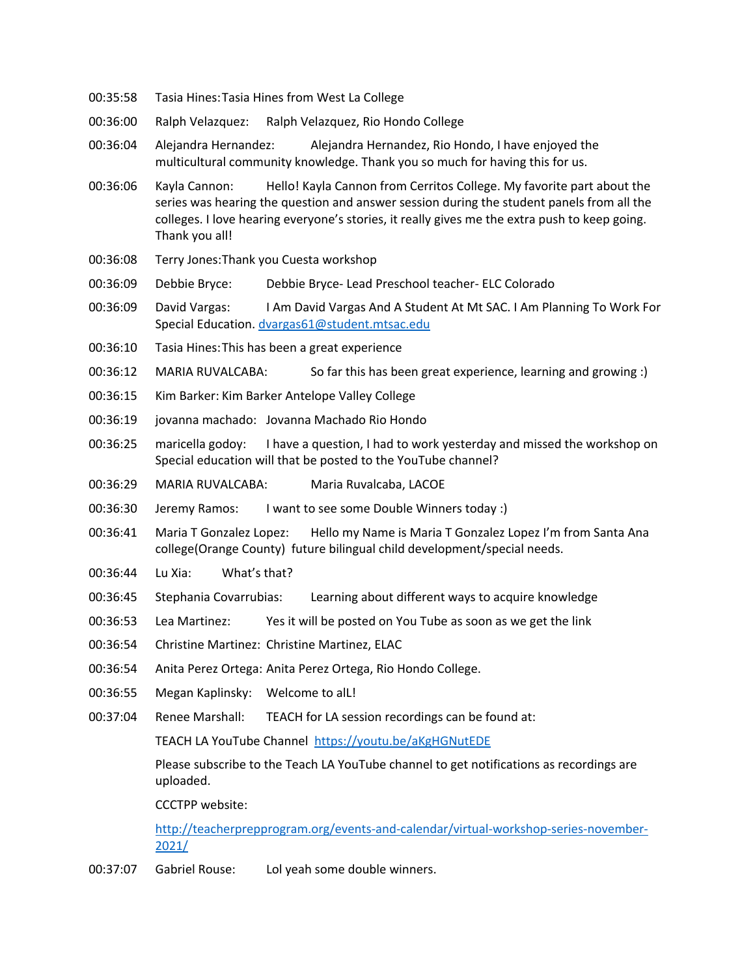- 00:35:58 Tasia Hines:Tasia Hines from West La College
- 00:36:00 Ralph Velazquez: Ralph Velazquez, Rio Hondo College
- 00:36:04 Alejandra Hernandez: Alejandra Hernandez, Rio Hondo, I have enjoyed the multicultural community knowledge. Thank you so much for having this for us.
- 00:36:06 Kayla Cannon: Hello! Kayla Cannon from Cerritos College. My favorite part about the series was hearing the question and answer session during the student panels from all the colleges. I love hearing everyone's stories, it really gives me the extra push to keep going. Thank you all!
- 00:36:08 Terry Jones:Thank you Cuesta workshop
- 00:36:09 Debbie Bryce: Debbie Bryce- Lead Preschool teacher- ELC Colorado
- 00:36:09 David Vargas: I Am David Vargas And A Student At Mt SAC. I Am Planning To Work For Special Education. dvargas61@student.mtsac.edu
- 00:36:10 Tasia Hines:This has been a great experience
- 00:36:12 MARIA RUVALCABA: So far this has been great experience, learning and growing :)
- 00:36:15 Kim Barker: Kim Barker Antelope Valley College
- 00:36:19 jovanna machado: Jovanna Machado Rio Hondo
- 00:36:25 maricella godoy: I have a question, I had to work yesterday and missed the workshop on Special education will that be posted to the YouTube channel?
- 00:36:29 MARIA RUVALCABA: Maria Ruvalcaba, LACOE
- 00:36:30 Jeremy Ramos: I want to see some Double Winners today :)
- 00:36:41 Maria T Gonzalez Lopez: Hello my Name is Maria T Gonzalez Lopez I'm from Santa Ana college(Orange County) future bilingual child development/special needs.
- 00:36:44 Lu Xia: What's that?
- 00:36:45 Stephania Covarrubias: Learning about different ways to acquire knowledge
- 00:36:53 Lea Martinez: Yes it will be posted on You Tube as soon as we get the link
- 00:36:54 Christine Martinez: Christine Martinez, ELAC
- 00:36:54 Anita Perez Ortega: Anita Perez Ortega, Rio Hondo College.
- 00:36:55 Megan Kaplinsky: Welcome to alL!
- 00:37:04 Renee Marshall: TEACH for LA session recordings can be found at:

TEACH LA YouTube Channel https://youtu.be/aKgHGNutEDE

Please subscribe to the Teach LA YouTube channel to get notifications as recordings are uploaded.

CCCTPP website:

http://teacherprepprogram.org/events-and-calendar/virtual-workshop-series-november-2021/

00:37:07 Gabriel Rouse: Lol yeah some double winners.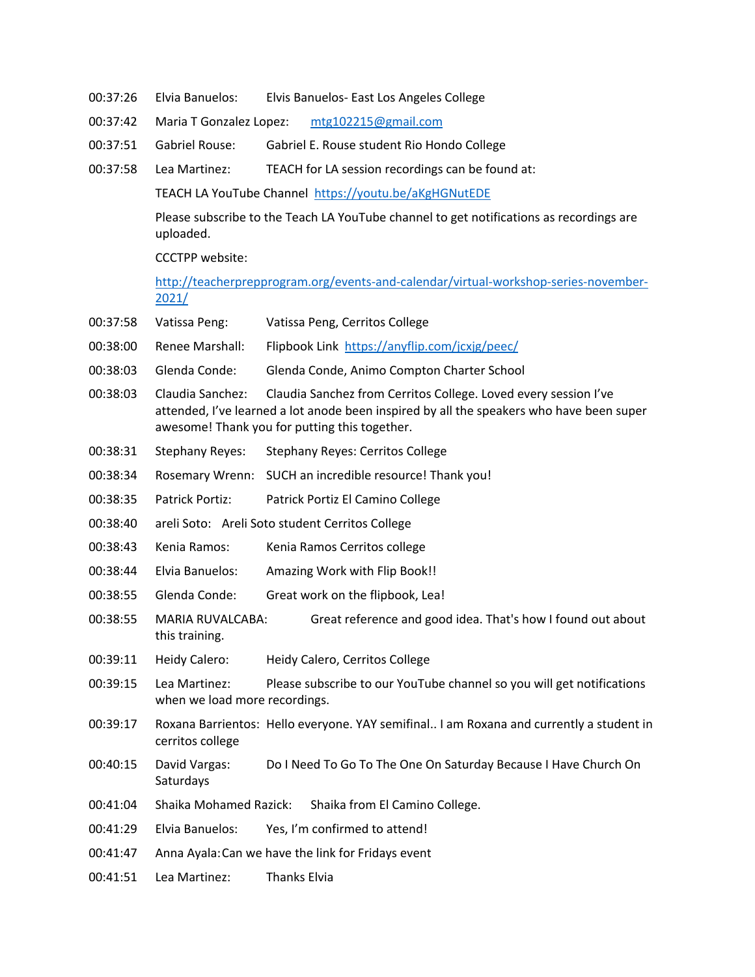- 00:37:26 Elvia Banuelos: Elvis Banuelos- East Los Angeles College
- 00:37:42 Maria T Gonzalez Lopez: mtg102215@gmail.com
- 00:37:51 Gabriel Rouse: Gabriel E. Rouse student Rio Hondo College
- 00:37:58 Lea Martinez: TEACH for LA session recordings can be found at:

TEACH LA YouTube Channel https://youtu.be/aKgHGNutEDE

Please subscribe to the Teach LA YouTube channel to get notifications as recordings are uploaded.

CCCTPP website:

http://teacherprepprogram.org/events-and-calendar/virtual-workshop-series-november-2021/

- 00:37:58 Vatissa Peng: Vatissa Peng, Cerritos College
- 00:38:00 Renee Marshall: Flipbook Link https://anyflip.com/jcxjg/peec/
- 00:38:03 Glenda Conde: Glenda Conde, Animo Compton Charter School
- 00:38:03 Claudia Sanchez: Claudia Sanchez from Cerritos College. Loved every session I've attended, I've learned a lot anode been inspired by all the speakers who have been super awesome! Thank you for putting this together.
- 00:38:31 Stephany Reyes: Stephany Reyes: Cerritos College
- 00:38:34 Rosemary Wrenn: SUCH an incredible resource! Thank you!
- 00:38:35 Patrick Portiz: Patrick Portiz El Camino College
- 00:38:40 areli Soto: Areli Soto student Cerritos College
- 00:38:43 Kenia Ramos: Kenia Ramos Cerritos college
- 00:38:44 Elvia Banuelos: Amazing Work with Flip Book!!
- 00:38:55 Glenda Conde: Great work on the flipbook, Lea!
- 00:38:55 MARIA RUVALCABA: Great reference and good idea. That's how I found out about this training.
- 00:39:11 Heidy Calero: Heidy Calero, Cerritos College
- 00:39:15 Lea Martinez: Please subscribe to our YouTube channel so you will get notifications when we load more recordings.
- 00:39:17 Roxana Barrientos: Hello everyone. YAY semifinal.. I am Roxana and currently a student in cerritos college
- 00:40:15 David Vargas: Do I Need To Go To The One On Saturday Because I Have Church On **Saturdays**
- 00:41:04 Shaika Mohamed Razick: Shaika from El Camino College.
- 00:41:29 Elvia Banuelos: Yes, I'm confirmed to attend!
- 00:41:47 Anna Ayala:Can we have the link for Fridays event
- 00:41:51 Lea Martinez: Thanks Elvia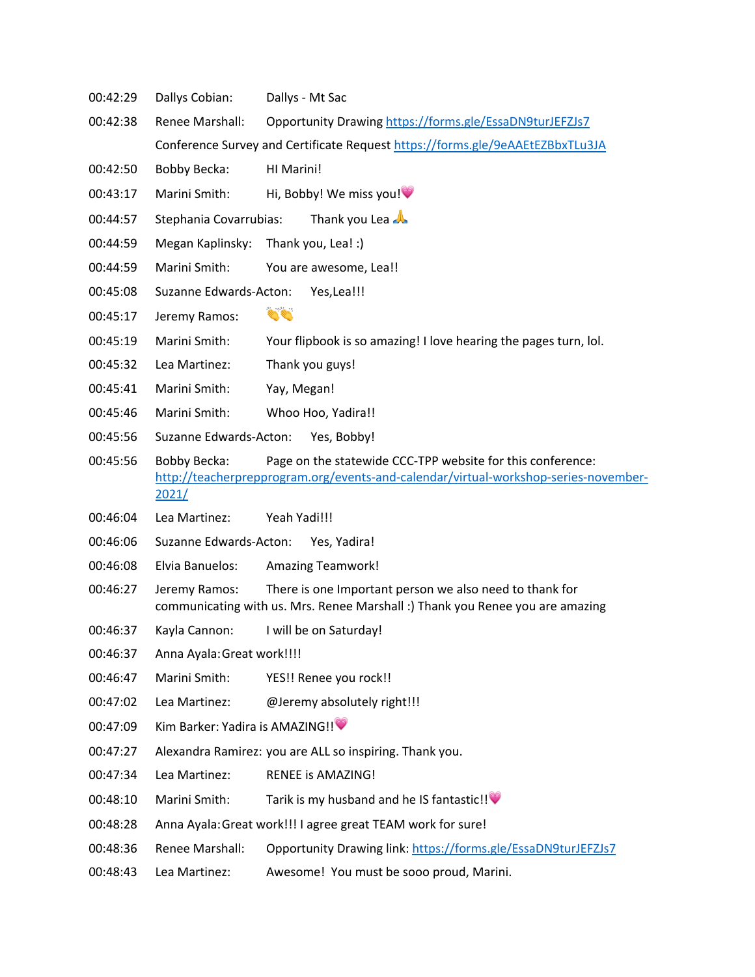- 00:42:29 Dallys Cobian: Dallys Mt Sac
- 00:42:38 Renee Marshall: Opportunity Drawing https://forms.gle/EssaDN9turJEFZJs7 Conference Survey and Certificate Request https://forms.gle/9eAAEtEZBbxTLu3JA
- 00:42:50 Bobby Becka: HI Marini!
- 00:43:17 Marini Smith: Hi, Bobby! We miss you!
- 00:44:57 Stephania Covarrubias: Thank you Lea
- 00:44:59 Megan Kaplinsky: Thank you, Lea! :)
- 00:44:59 Marini Smith: You are awesome, Lea!!
- 00:45:08 Suzanne Edwards-Acton: Yes,Lea!!!
- 00:45:17 Jeremy Ramos:
- 00:45:19 Marini Smith: Your flipbook is so amazing! I love hearing the pages turn, lol.
- 00:45:32 Lea Martinez: Thank you guys!
- 00:45:41 Marini Smith: Yay, Megan!
- 00:45:46 Marini Smith: Whoo Hoo, Yadira!!
- 00:45:56 Suzanne Edwards-Acton: Yes, Bobby!
- 00:45:56 Bobby Becka: Page on the statewide CCC-TPP website for this conference: http://teacherprepprogram.org/events-and-calendar/virtual-workshop-series-november-2021/
- 00:46:04 Lea Martinez: Yeah Yadi!!!
- 00:46:06 Suzanne Edwards-Acton: Yes, Yadira!
- 00:46:08 Elvia Banuelos: Amazing Teamwork!
- 00:46:27 Jeremy Ramos: There is one Important person we also need to thank for communicating with us. Mrs. Renee Marshall :) Thank you Renee you are amazing
- 00:46:37 Kayla Cannon: I will be on Saturday!
- 00:46:37 Anna Ayala:Great work!!!!
- 00:46:47 Marini Smith: YES!! Renee you rock!!
- 00:47:02 Lea Martinez: @Jeremy absolutely right!!!
- 00:47:09 Kim Barker: Yadira is AMAZING!!
- 00:47:27 Alexandra Ramirez: you are ALL so inspiring. Thank you.
- 00:47:34 Lea Martinez: RENEE is AMAZING!
- 00:48:10 Marini Smith: Tarik is my husband and he IS fantastic!!
- 00:48:28 Anna Ayala:Great work!!! I agree great TEAM work for sure!
- 00:48:36 Renee Marshall: Opportunity Drawing link: https://forms.gle/EssaDN9turJEFZJs7
- 00:48:43 Lea Martinez: Awesome! You must be sooo proud, Marini.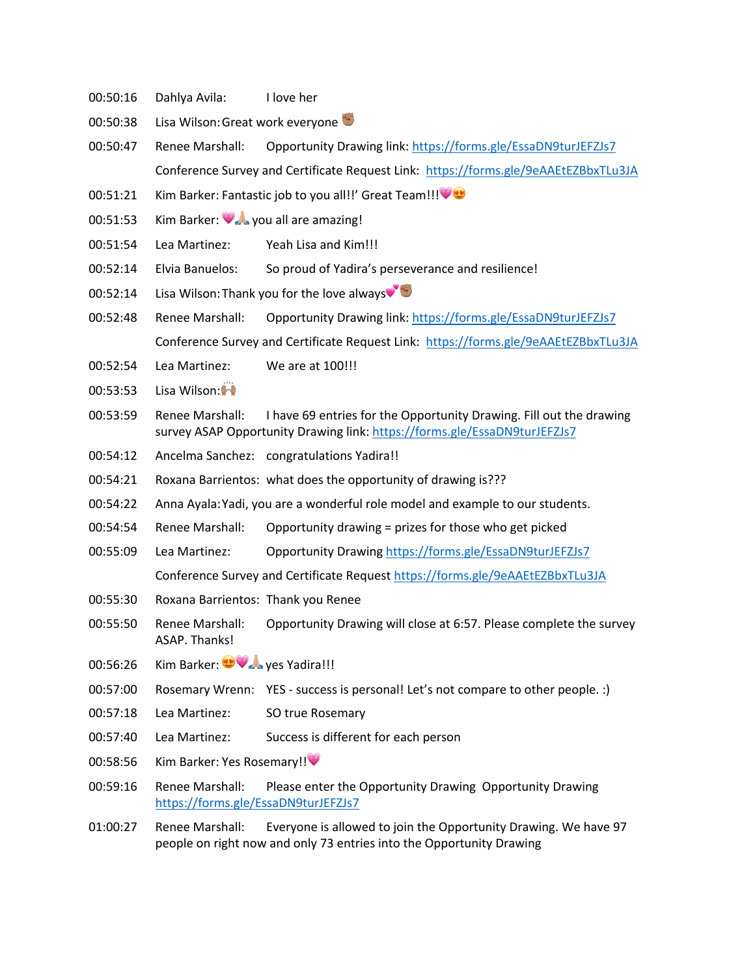- 00:50:16 Dahlya Avila: I love her
- 00:50:38 Lisa Wilson: Great work everyone
- 00:50:47 Renee Marshall: Opportunity Drawing link: https://forms.gle/EssaDN9turJEFZJs7 Conference Survey and Certificate Request Link: https://forms.gle/9eAAEtEZBbxTLu3JA
- 00:51:21 Kim Barker: Fantastic job to you all!!' Great Team!!!
- 00:51:53 Kim Barker: **WA** you all are amazing!
- 00:51:54 Lea Martinez: Yeah Lisa and Kim!!!
- 00:52:14 Elvia Banuelos: So proud of Yadira's perseverance and resilience!
- 00:52:14 Lisa Wilson: Thank you for the love always
- 00:52:48 Renee Marshall: Opportunity Drawing link: https://forms.gle/EssaDN9turJEFZJs7 Conference Survey and Certificate Request Link: https://forms.gle/9eAAEtEZBbxTLu3JA
- 00:52:54 Lea Martinez: We are at 100!!!
- 00:53:53 Lisa Wilson:
- 00:53:59 Renee Marshall: I have 69 entries for the Opportunity Drawing. Fill out the drawing survey ASAP Opportunity Drawing link: https://forms.gle/EssaDN9turJEFZJs7
- 00:54:12 Ancelma Sanchez: congratulations Yadira!!
- 00:54:21 Roxana Barrientos: what does the opportunity of drawing is???
- 00:54:22 Anna Ayala:Yadi, you are a wonderful role model and example to our students.
- 00:54:54 Renee Marshall: Opportunity drawing = prizes for those who get picked
- 00:55:09 Lea Martinez: Opportunity Drawing https://forms.gle/EssaDN9turJEFZJs7 Conference Survey and Certificate Request https://forms.gle/9eAAEtEZBbxTLu3JA
- 00:55:30 Roxana Barrientos: Thank you Renee
- 00:55:50 Renee Marshall: Opportunity Drawing will close at 6:57. Please complete the survey ASAP. Thanks!
- 00:56:26 Kim Barker: **300 A** yes Yadira!!!
- 00:57:00 Rosemary Wrenn: YES success is personal! Let's not compare to other people. :)
- 00:57:18 Lea Martinez: SO true Rosemary
- 00:57:40 Lea Martinez: Success is different for each person
- 00:58:56 Kim Barker: Yes Rosemary!!
- 00:59:16 Renee Marshall: Please enter the Opportunity Drawing Opportunity Drawing https://forms.gle/EssaDN9turJEFZJs7
- 01:00:27 Renee Marshall: Everyone is allowed to join the Opportunity Drawing. We have 97 people on right now and only 73 entries into the Opportunity Drawing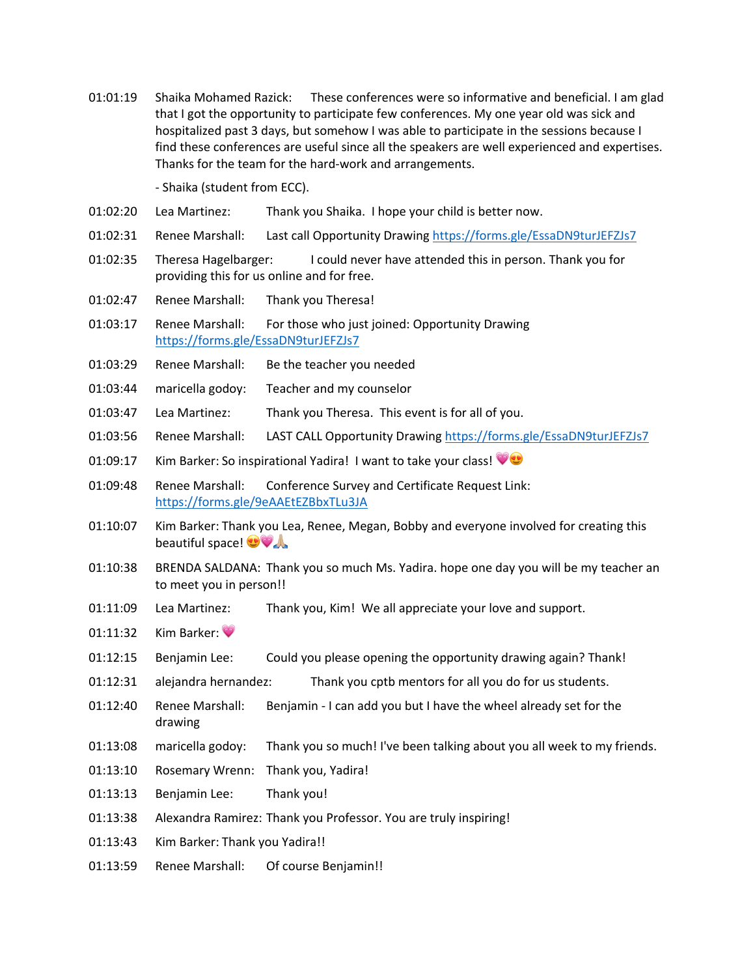01:01:19 Shaika Mohamed Razick: These conferences were so informative and beneficial. I am glad that I got the opportunity to participate few conferences. My one year old was sick and hospitalized past 3 days, but somehow I was able to participate in the sessions because I find these conferences are useful since all the speakers are well experienced and expertises. Thanks for the team for the hard-work and arrangements.

- Shaika (student from ECC).

- 01:02:20 Lea Martinez: Thank you Shaika. I hope your child is better now.
- 01:02:31 Renee Marshall: Last call Opportunity Drawing https://forms.gle/EssaDN9turJEFZJs7
- 01:02:35 Theresa Hagelbarger: I could never have attended this in person. Thank you for providing this for us online and for free.
- 01:02:47 Renee Marshall: Thank you Theresa!
- 01:03:17 Renee Marshall: For those who just joined: Opportunity Drawing https://forms.gle/EssaDN9turJEFZJs7
- 01:03:29 Renee Marshall: Be the teacher you needed
- 01:03:44 maricella godoy: Teacher and my counselor
- 01:03:47 Lea Martinez: Thank you Theresa. This event is for all of you.
- 01:03:56 Renee Marshall: LAST CALL Opportunity Drawing https://forms.gle/EssaDN9turJEFZJs7
- 01:09:17 Kim Barker: So inspirational Yadira! I want to take your class!
- 01:09:48 Renee Marshall: Conference Survey and Certificate Request Link: https://forms.gle/9eAAEtEZBbxTLu3JA
- 01:10:07 Kim Barker: Thank you Lea, Renee, Megan, Bobby and everyone involved for creating this beautiful space!
- 01:10:38 BRENDA SALDANA: Thank you so much Ms. Yadira. hope one day you will be my teacher an to meet you in person!!
- 01:11:09 Lea Martinez: Thank you, Kim! We all appreciate your love and support.
- 01:11:32 Kim Barker:
- 01:12:15 Benjamin Lee: Could you please opening the opportunity drawing again? Thank!
- 01:12:31 alejandra hernandez: Thank you cptb mentors for all you do for us students.
- 01:12:40 Renee Marshall: Benjamin I can add you but I have the wheel already set for the drawing
- 01:13:08 maricella godoy: Thank you so much! I've been talking about you all week to my friends.
- 01:13:10 Rosemary Wrenn: Thank you, Yadira!
- 01:13:13 Benjamin Lee: Thank you!
- 01:13:38 Alexandra Ramirez: Thank you Professor. You are truly inspiring!
- 01:13:43 Kim Barker: Thank you Yadira!!
- 01:13:59 Renee Marshall: Of course Benjamin!!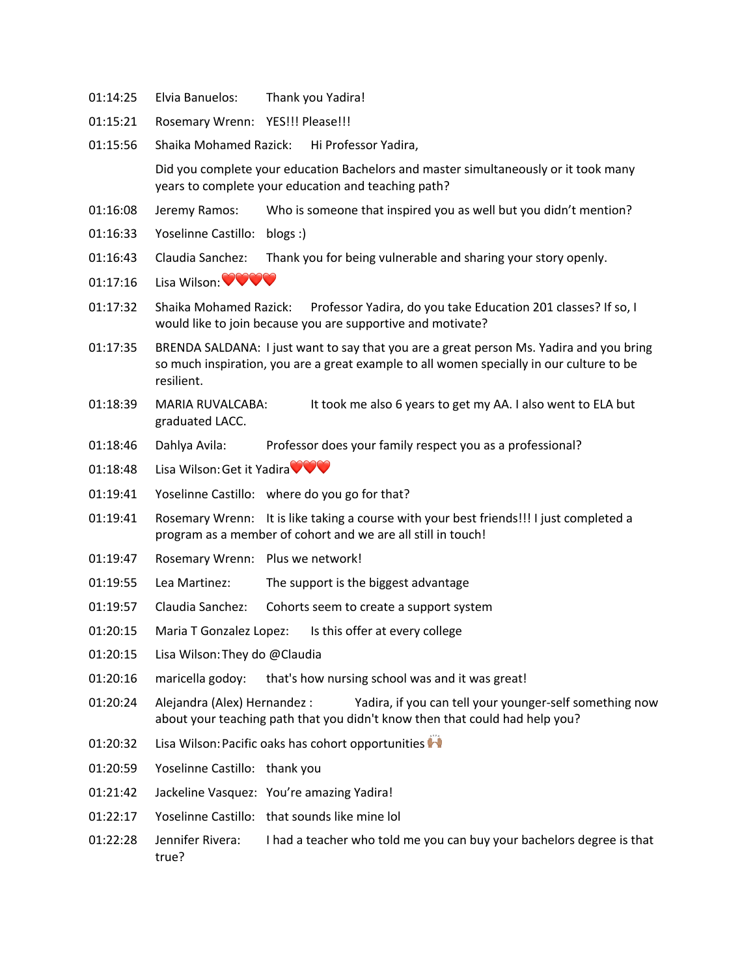- 01:14:25 Elvia Banuelos: Thank you Yadira!
- 01:15:21 Rosemary Wrenn: YES!!! Please!!!
- 01:15:56 Shaika Mohamed Razick: Hi Professor Yadira,

Did you complete your education Bachelors and master simultaneously or it took many years to complete your education and teaching path?

- 01:16:08 Jeremy Ramos: Who is someone that inspired you as well but you didn't mention?
- 01:16:33 Yoselinne Castillo: blogs :)
- 01:16:43 Claudia Sanchez: Thank you for being vulnerable and sharing your story openly.
- 01:17:16 Lisa Wilson: $\bigcirc \heartsuit \bigcirc \heartsuit$
- 01:17:32 Shaika Mohamed Razick: Professor Yadira, do you take Education 201 classes? If so, I would like to join because you are supportive and motivate?
- 01:17:35 BRENDA SALDANA: I just want to say that you are a great person Ms. Yadira and you bring so much inspiration, you are a great example to all women specially in our culture to be resilient.
- 01:18:39 MARIA RUVALCABA: It took me also 6 years to get my AA. I also went to ELA but graduated LACC.
- 01:18:46 Dahlya Avila: Professor does your family respect you as a professional?
- 01:18:48 Lisa Wilson: Get it Yadira
- 01:19:41 Yoselinne Castillo: where do you go for that?
- 01:19:41 Rosemary Wrenn: It is like taking a course with your best friends!!! I just completed a program as a member of cohort and we are all still in touch!
- 01:19:47 Rosemary Wrenn: Plus we network!
- 01:19:55 Lea Martinez: The support is the biggest advantage
- 01:19:57 Claudia Sanchez: Cohorts seem to create a support system
- 01:20:15 Maria T Gonzalez Lopez: Is this offer at every college
- 01:20:15 Lisa Wilson:They do @Claudia
- 01:20:16 maricella godoy: that's how nursing school was and it was great!
- 01:20:24 Alejandra (Alex) Hernandez : Yadira, if you can tell your younger-self something now about your teaching path that you didn't know then that could had help you?
- 01:20:32 Lisa Wilson: Pacific oaks has cohort opportunities
- 01:20:59 Yoselinne Castillo: thank you
- 01:21:42 Jackeline Vasquez: You're amazing Yadira!
- 01:22:17 Yoselinne Castillo: that sounds like mine lol
- 01:22:28 Jennifer Rivera: I had a teacher who told me you can buy your bachelors degree is that true?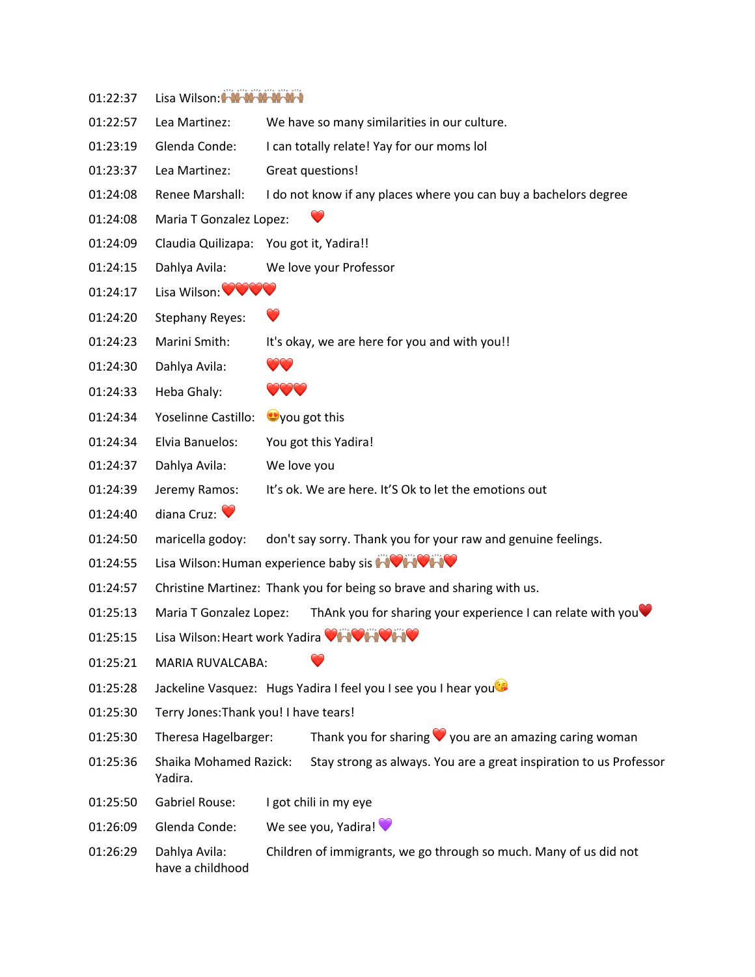| 01:22:37 | Lisa Wilson: MMMMMMMM                                          |                                                                       |
|----------|----------------------------------------------------------------|-----------------------------------------------------------------------|
| 01:22:57 | Lea Martinez:                                                  | We have so many similarities in our culture.                          |
| 01:23:19 | Glenda Conde:                                                  | I can totally relate! Yay for our moms lol                            |
| 01:23:37 | Lea Martinez:                                                  | Great questions!                                                      |
| 01:24:08 | Renee Marshall:                                                | I do not know if any places where you can buy a bachelors degree      |
| 01:24:08 | Maria T Gonzalez Lopez:                                        |                                                                       |
| 01:24:09 | Claudia Quilizapa:                                             | You got it, Yadira!!                                                  |
| 01:24:15 | Dahlya Avila:                                                  | We love your Professor                                                |
| 01:24:17 | Lisa Wilson: <b>WWW</b>                                        |                                                                       |
| 01:24:20 | <b>Stephany Reyes:</b>                                         | $\bigcirc$                                                            |
| 01:24:23 | Marini Smith:                                                  | It's okay, we are here for you and with you!!                         |
| 01:24:30 | Dahlya Avila:                                                  | $\bullet\bullet$                                                      |
| 01:24:33 | Heba Ghaly:                                                    | VVV                                                                   |
| 01:24:34 | <b>Yoselinne Castillo:</b>                                     | you got this                                                          |
| 01:24:34 | Elvia Banuelos:                                                | You got this Yadira!                                                  |
| 01:24:37 | Dahlya Avila:                                                  | We love you                                                           |
| 01:24:39 | Jeremy Ramos:                                                  | It's ok. We are here. It'S Ok to let the emotions out                 |
| 01:24:40 | diana Cruz: $\bullet$                                          |                                                                       |
| 01:24:50 | maricella godoy:                                               | don't say sorry. Thank you for your raw and genuine feelings.         |
| 01:24:55 | Lisa Wilson: Human experience baby sis <b>AVAVAV</b>           |                                                                       |
| 01:24:57 |                                                                | Christine Martinez: Thank you for being so brave and sharing with us. |
| 01:25:13 | Maria T Gonzalez Lopez:                                        | ThAnk you for sharing your experience I can relate with you           |
| 01:25:15 | Lisa Wilson: Heart work Yadira VHVHVHV                         |                                                                       |
| 01:25:21 | <b>MARIA RUVALCABA:</b>                                        |                                                                       |
| 01:25:28 | Jackeline Vasquez: Hugs Yadira I feel you I see you I hear you |                                                                       |
| 01:25:30 | Terry Jones: Thank you! I have tears!                          |                                                                       |
| 01:25:30 | Theresa Hagelbarger:                                           | Thank you for sharing $\vee$ you are an amazing caring woman          |
| 01:25:36 | Shaika Mohamed Razick:<br>Yadira.                              | Stay strong as always. You are a great inspiration to us Professor    |
| 01:25:50 | <b>Gabriel Rouse:</b>                                          | I got chili in my eye                                                 |
| 01:26:09 | Glenda Conde:                                                  | We see you, Yadira!                                                   |
| 01:26:29 | Dahlya Avila:<br>have a childhood                              | Children of immigrants, we go through so much. Many of us did not     |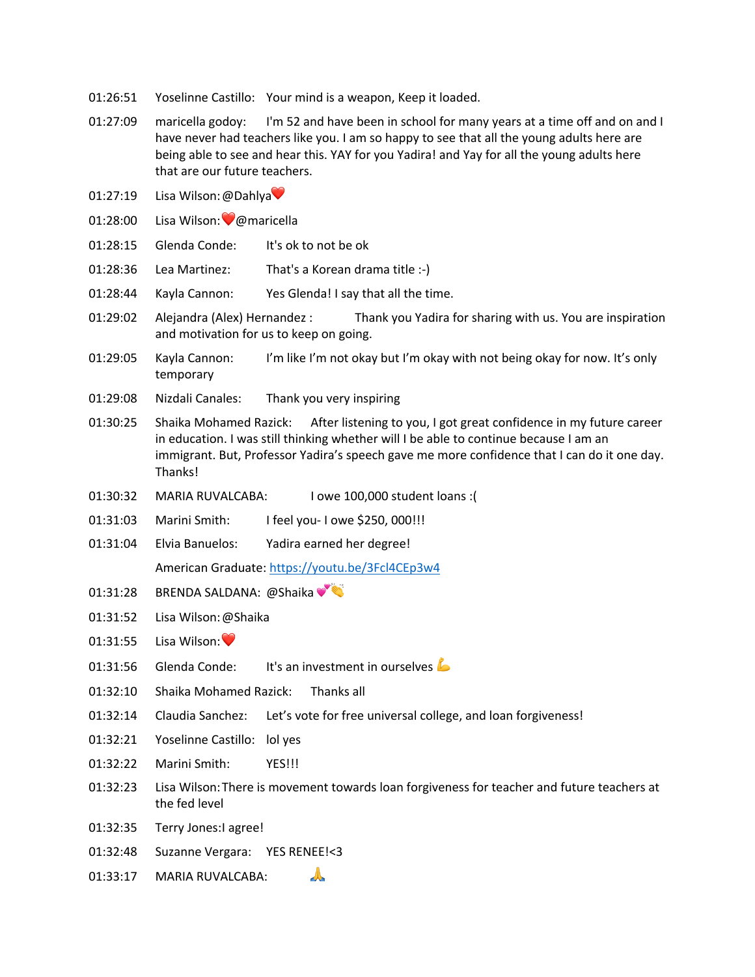- 01:26:51 Yoselinne Castillo: Your mind is a weapon, Keep it loaded.
- 01:27:09 maricella godoy: I'm 52 and have been in school for many years at a time off and on and I have never had teachers like you. I am so happy to see that all the young adults here are being able to see and hear this. YAY for you Yadira! and Yay for all the young adults here that are our future teachers.
- 01:27:19 Lisa Wilson: @Dahlya
- 01:28:00 Lisa Wilson: 
y@maricella
- 01:28:15 Glenda Conde: It's ok to not be ok
- 01:28:36 Lea Martinez: That's a Korean drama title :-)
- 01:28:44 Kayla Cannon: Yes Glenda! I say that all the time.
- 01:29:02 Alejandra (Alex) Hernandez : Thank you Yadira for sharing with us. You are inspiration and motivation for us to keep on going.
- 01:29:05 Kayla Cannon: I'm like I'm not okay but I'm okay with not being okay for now. It's only temporary
- 01:29:08 Nizdali Canales: Thank you very inspiring
- 01:30:25 Shaika Mohamed Razick: After listening to you, I got great confidence in my future career in education. I was still thinking whether will I be able to continue because I am an immigrant. But, Professor Yadira's speech gave me more confidence that I can do it one day. Thanks!
- 01:30:32 MARIA RUVALCABA: I owe 100,000 student loans :(
- 01:31:03 Marini Smith: I feel you- I owe \$250, 000!!!
- 01:31:04 Elvia Banuelos: Yadira earned her degree!

American Graduate: https://youtu.be/3Fcl4CEp3w4

- 01:31:28 BRENDA SALDANA: @Shaika
- 01:31:52 Lisa Wilson:@Shaika
- $01:31:55$  Lisa Wilson:
- 01:31:56 Glenda Conde: It's an investment in ourselves
- 01:32:10 Shaika Mohamed Razick: Thanks all
- 01:32:14 Claudia Sanchez: Let's vote for free universal college, and loan forgiveness!
- 01:32:21 Yoselinne Castillo: lol yes
- 01:32:22 Marini Smith: YES!!!
- 01:32:23 Lisa Wilson:There is movement towards loan forgiveness for teacher and future teachers at the fed level
- 01:32:35 Terry Jones:I agree!
- 01:32:48 Suzanne Vergara: YES RENEE!<3
- 01:33:17 MARIA RUVALCABA: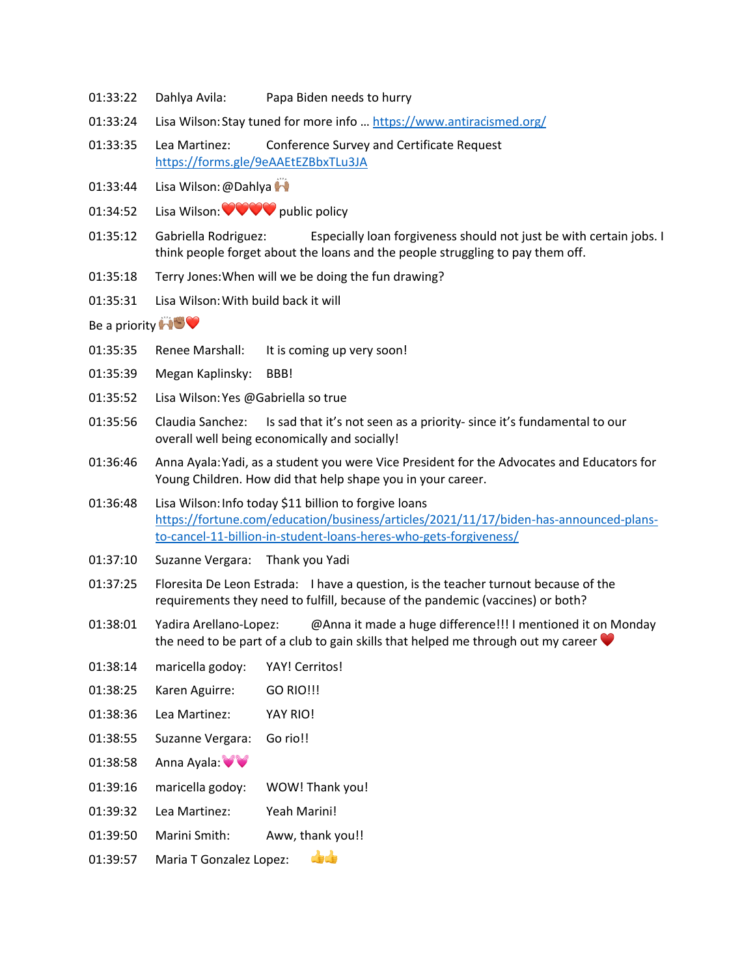- 01:33:22 Dahlya Avila: Papa Biden needs to hurry
- 01:33:24 Lisa Wilson: Stay tuned for more info ... https://www.antiracismed.org/
- 01:33:35 Lea Martinez: Conference Survey and Certificate Request https://forms.gle/9eAAEtEZBbxTLu3JA
- 01:33:44 Lisa Wilson: @Dahlya
- 01:34:52 Lisa Wilson: ❤❤❤❤ public policy
- 01:35:12 Gabriella Rodriguez: Especially loan forgiveness should not just be with certain jobs. I think people forget about the loans and the people struggling to pay them off.
- 01:35:18 Terry Jones:When will we be doing the fun drawing?
- 01:35:31 Lisa Wilson:With build back it will

Be a priority  $\Box$ 

- 01:35:35 Renee Marshall: It is coming up very soon!
- 01:35:39 Megan Kaplinsky: BBB!
- 01:35:52 Lisa Wilson:Yes @Gabriella so true
- 01:35:56 Claudia Sanchez: Is sad that it's not seen as a priority- since it's fundamental to our overall well being economically and socially!
- 01:36:46 Anna Ayala:Yadi, as a student you were Vice President for the Advocates and Educators for Young Children. How did that help shape you in your career.
- 01:36:48 Lisa Wilson:Info today \$11 billion to forgive loans https://fortune.com/education/business/articles/2021/11/17/biden-has-announced-plansto-cancel-11-billion-in-student-loans-heres-who-gets-forgiveness/
- 01:37:10 Suzanne Vergara: Thank you Yadi
- 01:37:25 Floresita De Leon Estrada: I have a question, is the teacher turnout because of the requirements they need to fulfill, because of the pandemic (vaccines) or both?
- 01:38:01 Yadira Arellano-Lopez: @Anna it made a huge difference!!! I mentioned it on Monday the need to be part of a club to gain skills that helped me through out my career  $\blacktriangledown$
- 01:38:14 maricella godoy: YAY! Cerritos!
- 01:38:25 Karen Aguirre: GO RIO!!!
- 01:38:36 Lea Martinez: YAY RIO!
- 01:38:55 Suzanne Vergara: Go rio!!
- 01:38:58 Anna Ayala: 0
- 01:39:16 maricella godoy: WOW! Thank you!
- 01:39:32 Lea Martinez: Yeah Marini!
- 01:39:50 Marini Smith: Aww, thank you!!
- 01:39:57 Maria T Gonzalez Lopez: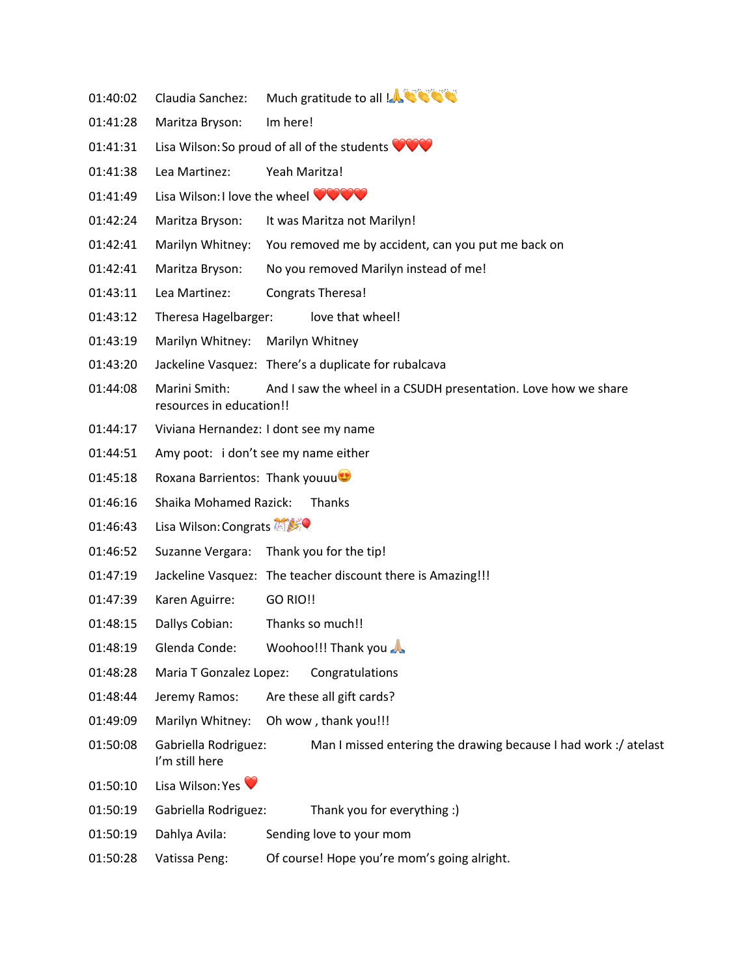- 01:40:02 Claudia Sanchez: Much gratitude to all !
- 01:41:28 Maritza Bryson: Im here!
- 01:41:31 Lisa Wilson: So proud of all of the students  $\bigcirc \heartsuit \bigcirc$
- 01:41:38 Lea Martinez: Yeah Maritza!
- 01:41:49 Lisa Wilson: I love the wheel **WOW**
- 01:42:24 Maritza Bryson: It was Maritza not Marilyn!
- 01:42:41 Marilyn Whitney: You removed me by accident, can you put me back on
- 01:42:41 Maritza Bryson: No you removed Marilyn instead of me!
- 01:43:11 Lea Martinez: Congrats Theresa!
- 01:43:12 Theresa Hagelbarger: love that wheel!
- 01:43:19 Marilyn Whitney: Marilyn Whitney
- 01:43:20 Jackeline Vasquez: There's a duplicate for rubalcava
- 01:44:08 Marini Smith: And I saw the wheel in a CSUDH presentation. Love how we share resources in education!!
- 01:44:17 Viviana Hernandez: I dont see my name
- 01:44:51 Amy poot: i don't see my name either
- 01:45:18 Roxana Barrientos: Thank youuu
- 01:46:16 Shaika Mohamed Razick: Thanks
- 01:46:43 Lisa Wilson: Congrats
- 01:46:52 Suzanne Vergara: Thank you for the tip!
- 01:47:19 Jackeline Vasquez: The teacher discount there is Amazing!!!
- 01:47:39 Karen Aguirre: GO RIO!!
- 01:48:15 Dallys Cobian: Thanks so much!!
- 01:48:19 Glenda Conde: Woohoo!!! Thank you
- 01:48:28 Maria T Gonzalez Lopez: Congratulations
- 01:48:44 Jeremy Ramos: Are these all gift cards?
- 01:49:09 Marilyn Whitney: Oh wow , thank you!!!
- 01:50:08 Gabriella Rodriguez: Man I missed entering the drawing because I had work :/ atelast I'm still here
- 01:50:10 Lisa Wilson: Yes
- 01:50:19 Gabriella Rodriguez: Thank you for everything :)
- 01:50:19 Dahlya Avila: Sending love to your mom
- 01:50:28 Vatissa Peng: Of course! Hope you're mom's going alright.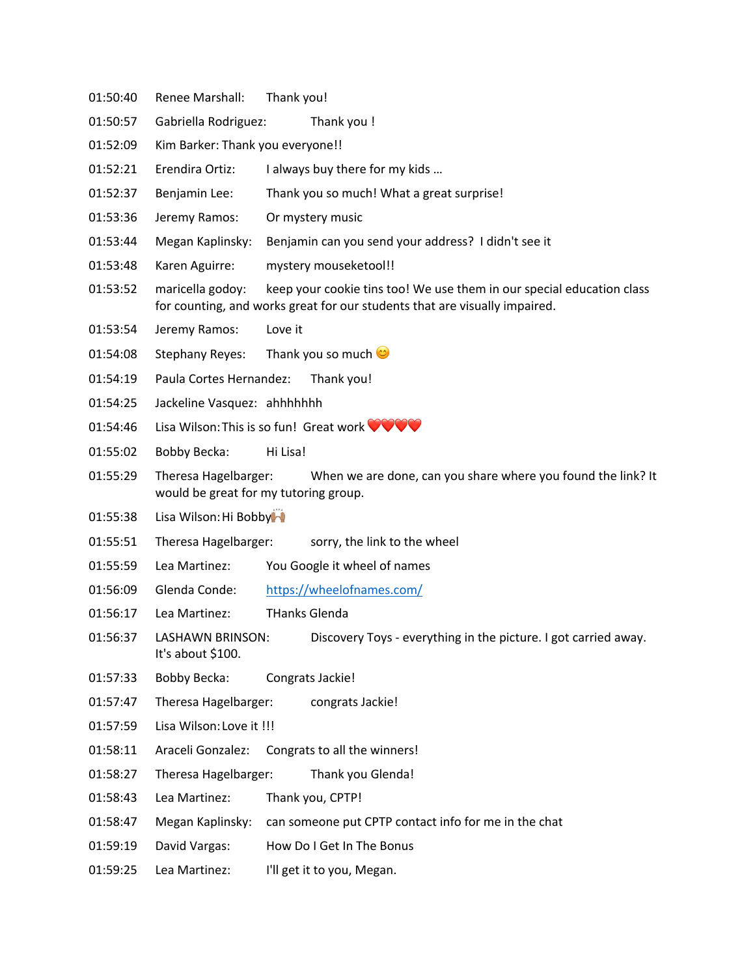- 01:50:40 Renee Marshall: Thank you!
- 01:50:57 Gabriella Rodriguez: Thank you !
- 01:52:09 Kim Barker: Thank you everyone!!
- 01:52:21 Erendira Ortiz: I always buy there for my kids …
- 01:52:37 Benjamin Lee: Thank you so much! What a great surprise!
- 01:53:36 Jeremy Ramos: Or mystery music
- 01:53:44 Megan Kaplinsky: Benjamin can you send your address? I didn't see it
- 01:53:48 Karen Aguirre: mystery mouseketool!!
- 01:53:52 maricella godoy: keep your cookie tins too! We use them in our special education class for counting, and works great for our students that are visually impaired.
- 01:53:54 Jeremy Ramos: Love it
- 01:54:08 Stephany Reyes: Thank you so much  $\heartsuit$
- 01:54:19 Paula Cortes Hernandez: Thank you!
- 01:54:25 Jackeline Vasquez: ahhhhhhh
- 01:54:46 Lisa Wilson:This is so fun! Great work ❤❤❤❤
- 01:55:02 Bobby Becka: Hi Lisa!
- 01:55:29 Theresa Hagelbarger: When we are done, can you share where you found the link? It would be great for my tutoring group.
- 01:55:38 Lisa Wilson: Hi Bobby
- 01:55:51 Theresa Hagelbarger: sorry, the link to the wheel
- 01:55:59 Lea Martinez: You Google it wheel of names
- 01:56:09 Glenda Conde: https://wheelofnames.com/
- 01:56:17 Lea Martinez: THanks Glenda
- 01:56:37 LASHAWN BRINSON: Discovery Toys everything in the picture. I got carried away. It's about \$100.
- 01:57:33 Bobby Becka: Congrats Jackie!
- 01:57:47 Theresa Hagelbarger: congrats Jackie!
- 01:57:59 Lisa Wilson:Love it !!!
- 01:58:11 Araceli Gonzalez: Congrats to all the winners!
- 01:58:27 Theresa Hagelbarger: Thank you Glenda!
- 01:58:43 Lea Martinez: Thank you, CPTP!
- 01:58:47 Megan Kaplinsky: can someone put CPTP contact info for me in the chat
- 01:59:19 David Vargas: How Do I Get In The Bonus
- 01:59:25 Lea Martinez: I'll get it to you, Megan.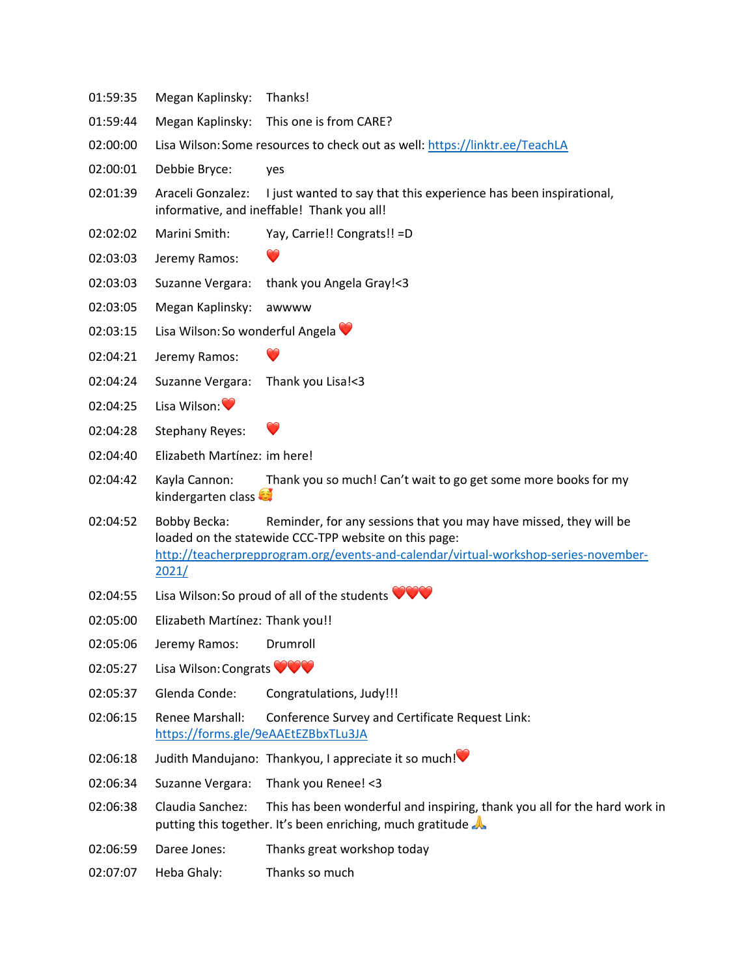- 01:59:35 Megan Kaplinsky: Thanks!
- 01:59:44 Megan Kaplinsky: This one is from CARE?
- 02:00:00 Lisa Wilson: Some resources to check out as well: https://linktr.ee/TeachLA
- 02:00:01 Debbie Bryce: yes
- 02:01:39 Araceli Gonzalez: I just wanted to say that this experience has been inspirational, informative, and ineffable! Thank you all!
- 02:02:02 Marini Smith: Yay, Carrie!! Congrats!! =D
- 02:03:03 Jeremy Ramos:
- 02:03:03 Suzanne Vergara: thank you Angela Gray!<3
- 02:03:05 Megan Kaplinsky: awwww
- 02:03:15 Lisa Wilson: So wonderful Angela
- 02:04:21 Jeremy Ramos:
- 02:04:24 Suzanne Vergara: Thank you Lisa!<3
- 02:04:25 Lisa Wilson:
- 02:04:28 Stephany Reyes:
- 02:04:40 Elizabeth Martínez: im here!
- 02:04:42 Kayla Cannon: Thank you so much! Can't wait to go get some more books for my kindergarten class
- 02:04:52 Bobby Becka: Reminder, for any sessions that you may have missed, they will be loaded on the statewide CCC-TPP website on this page: http://teacherprepprogram.org/events-and-calendar/virtual-workshop-series-november-2021/
- 02:04:55 Lisa Wilson: So proud of all of the students
- 02:05:00 Elizabeth Martínez: Thank you!!
- 02:05:06 Jeremy Ramos: Drumroll
- 02:05:27 Lisa Wilson: Congrats  $\bullet\bullet\bullet\bullet$
- 02:05:37 Glenda Conde: Congratulations, Judy!!!
- 02:06:15 Renee Marshall: Conference Survey and Certificate Request Link: https://forms.gle/9eAAEtEZBbxTLu3JA
- 02:06:18 Judith Mandujano: Thankyou, I appreciate it so much!
- 02:06:34 Suzanne Vergara: Thank you Renee! <3
- 02:06:38 Claudia Sanchez: This has been wonderful and inspiring, thank you all for the hard work in putting this together. It's been enriching, much gratitude
- 02:06:59 Daree Jones: Thanks great workshop today
- 02:07:07 Heba Ghaly: Thanks so much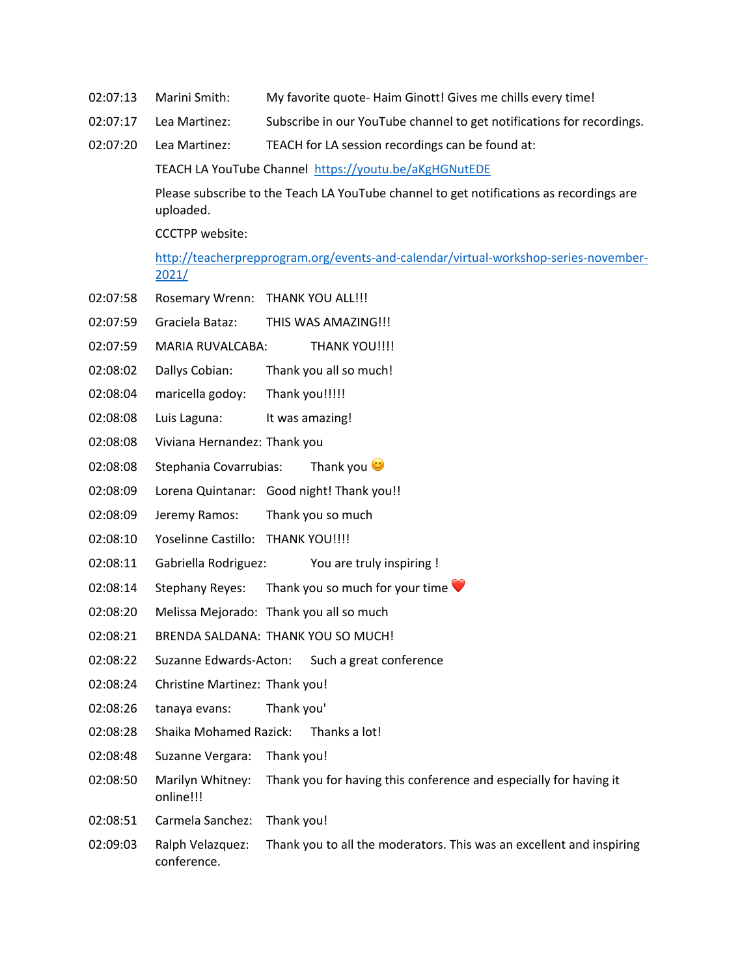- 02:07:13 Marini Smith: My favorite quote- Haim Ginott! Gives me chills every time!
- 02:07:17 Lea Martinez: Subscribe in our YouTube channel to get notifications for recordings.
- 02:07:20 Lea Martinez: TEACH for LA session recordings can be found at:

TEACH LA YouTube Channel https://youtu.be/aKgHGNutEDE

Please subscribe to the Teach LA YouTube channel to get notifications as recordings are uploaded.

CCCTPP website:

http://teacherprepprogram.org/events-and-calendar/virtual-workshop-series-november-2021/

- 02:07:58 Rosemary Wrenn: THANK YOU ALL!!!
- 02:07:59 Graciela Bataz: THIS WAS AMAZING!!!
- 02:07:59 MARIA RUVALCABA: THANK YOU!!!!
- 02:08:02 Dallys Cobian: Thank you all so much!
- 02:08:04 maricella godoy: Thank you!!!!!
- 02:08:08 Luis Laguna: It was amazing!
- 02:08:08 Viviana Hernandez: Thank you
- 02:08:08 Stephania Covarrubias: Thank you  $\heartsuit$
- 02:08:09 Lorena Quintanar: Good night! Thank you!!
- 02:08:09 Jeremy Ramos: Thank you so much
- 02:08:10 Yoselinne Castillo: THANK YOU!!!!
- 02:08:11 Gabriella Rodriguez: You are truly inspiring !
- 02:08:14 Stephany Reyes: Thank you so much for your time
- 02:08:20 Melissa Mejorado: Thank you all so much
- 02:08:21 BRENDA SALDANA: THANK YOU SO MUCH!
- 02:08:22 Suzanne Edwards-Acton: Such a great conference
- 02:08:24 Christine Martinez: Thank you!
- 02:08:26 tanaya evans: Thank you'
- 02:08:28 Shaika Mohamed Razick: Thanks a lot!
- 02:08:48 Suzanne Vergara: Thank you!
- 02:08:50 Marilyn Whitney: Thank you for having this conference and especially for having it online!!!
- 02:08:51 Carmela Sanchez: Thank you!
- 02:09:03 Ralph Velazquez: Thank you to all the moderators. This was an excellent and inspiring conference.